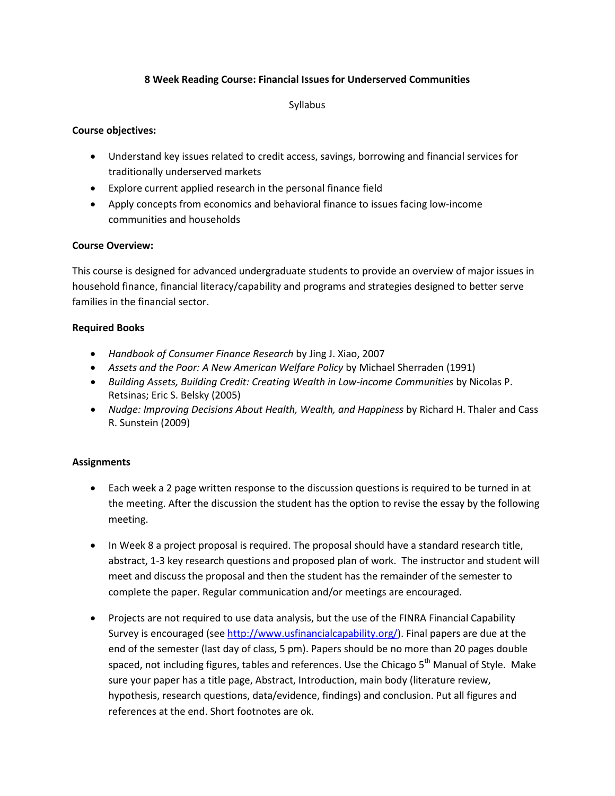## **8 Week Reading Course: Financial Issues for Underserved Communities**

Syllabus

## **Course objectives:**

- Understand key issues related to credit access, savings, borrowing and financial services for traditionally underserved markets
- Explore current applied research in the personal finance field
- Apply concepts from economics and behavioral finance to issues facing low-income communities and households

## **Course Overview:**

This course is designed for advanced undergraduate students to provide an overview of major issues in household finance, financial literacy/capability and programs and strategies designed to better serve families in the financial sector.

## **Required Books**

- *Handbook of Consumer Finance Research* by Jing J. Xiao, 2007
- *Assets and the Poor: A New American Welfare Policy* by Michael Sherraden (1991)
- *Building Assets, Building Credit: Creating Wealth in Low-income Communities* by Nicolas P. Retsinas; Eric S. Belsky (2005)
- *Nudge: Improving Decisions About Health, Wealth, and Happiness* by Richard H. Thaler and Cass R. Sunstein (2009)

# **Assignments**

- Each week a 2 page written response to the discussion questions is required to be turned in at the meeting. After the discussion the student has the option to revise the essay by the following meeting.
- In Week 8 a project proposal is required. The proposal should have a standard research title, abstract, 1-3 key research questions and proposed plan of work. The instructor and student will meet and discuss the proposal and then the student has the remainder of the semester to complete the paper. Regular communication and/or meetings are encouraged.
- Projects are not required to use data analysis, but the use of the FINRA Financial Capability Survey is encouraged (se[e http://www.usfinancialcapability.org/\)](http://www.usfinancialcapability.org/). Final papers are due at the end of the semester (last day of class, 5 pm). Papers should be no more than 20 pages double spaced, not including figures, tables and references. Use the Chicago 5<sup>th</sup> Manual of Style. Make sure your paper has a title page, Abstract, Introduction, main body (literature review, hypothesis, research questions, data/evidence, findings) and conclusion. Put all figures and references at the end. Short footnotes are ok.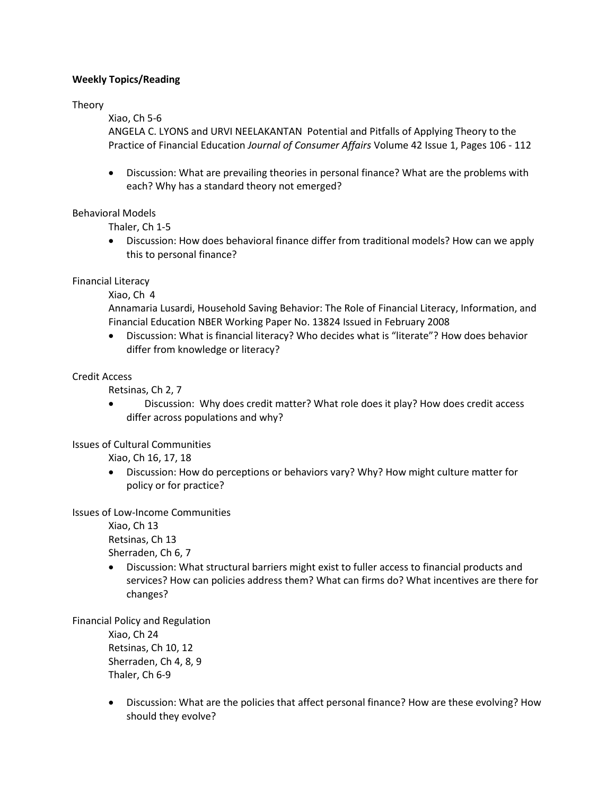## **Weekly Topics/Reading**

Theory

Xiao, Ch 5-6

ANGELA C. LYONS and URVI NEELAKANTAN Potential and Pitfalls of Applying Theory to the Practice of Financial Education *Journal of Consumer Affairs* Volume 42 Issue 1, Pages 106 - 112

• Discussion: What are prevailing theories in personal finance? What are the problems with each? Why has a standard theory not emerged?

## Behavioral Models

Thaler, Ch 1-5

• Discussion: How does behavioral finance differ from traditional models? How can we apply this to personal finance?

Financial Literacy

Xiao, Ch 4

Annamaria Lusardi, Household Saving Behavior: The Role of Financial Literacy, Information, and Financial Education NBER Working Paper No. 13824 Issued in February 2008

• Discussion: What is financial literacy? Who decides what is "literate"? How does behavior differ from knowledge or literacy?

#### Credit Access

Retsinas, Ch 2, 7

• Discussion: Why does credit matter? What role does it play? How does credit access differ across populations and why?

Issues of Cultural Communities

Xiao, Ch 16, 17, 18

• Discussion: How do perceptions or behaviors vary? Why? How might culture matter for policy or for practice?

#### Issues of Low-Income Communities

Xiao, Ch 13 Retsinas, Ch 13 Sherraden, Ch 6, 7

• Discussion: What structural barriers might exist to fuller access to financial products and services? How can policies address them? What can firms do? What incentives are there for changes?

Financial Policy and Regulation

Xiao, Ch 24 Retsinas, Ch 10, 12 Sherraden, Ch 4, 8, 9 Thaler, Ch 6-9

• Discussion: What are the policies that affect personal finance? How are these evolving? How should they evolve?